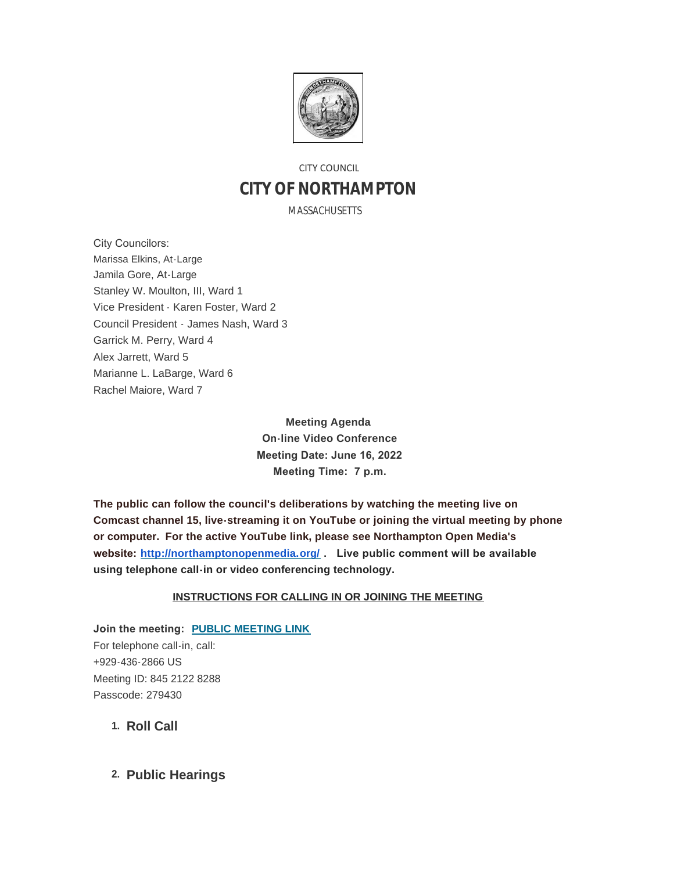

# CITY COUNCIL **CITY OF NORTHAMPTON**

MASSACHUSETTS

City Councilors: Marissa Elkins, At-Large Jamila Gore, At-Large Stanley W. Moulton, III, Ward 1 Vice President - Karen Foster, Ward 2 Council President - James Nash, Ward 3 Garrick M. Perry, Ward 4 Alex Jarrett, Ward 5 Marianne L. LaBarge, Ward 6 Rachel Maiore, Ward 7

> **Meeting Agenda On-line Video Conference Meeting Date: June 16, 2022 Meeting Time: 7 p.m.**

**The public can follow the council's deliberations by watching the meeting live on Comcast channel 15, live-streaming it on YouTube or joining the virtual meeting by phone or computer. For the active YouTube link, please see Northampton Open Media's website: <http://northamptonopenmedia.org/> . Live public comment will be available using telephone call-in or video conferencing technology.**

### **INSTRUCTIONS FOR CALLING IN OR JOINING THE MEETING**

**Join the meeting: [PUBLIC MEETING LINK](https://us06web.zoom.us/j/84521228288?pwd=c0RDZC8vUGxSTlB2V0c2Tmt1RFVCUT09)** For telephone call-in, call: +929-436-2866 US Meeting ID: 845 2122 8288 Passcode: 279430

1. Roll Call

**Public Hearings 2.**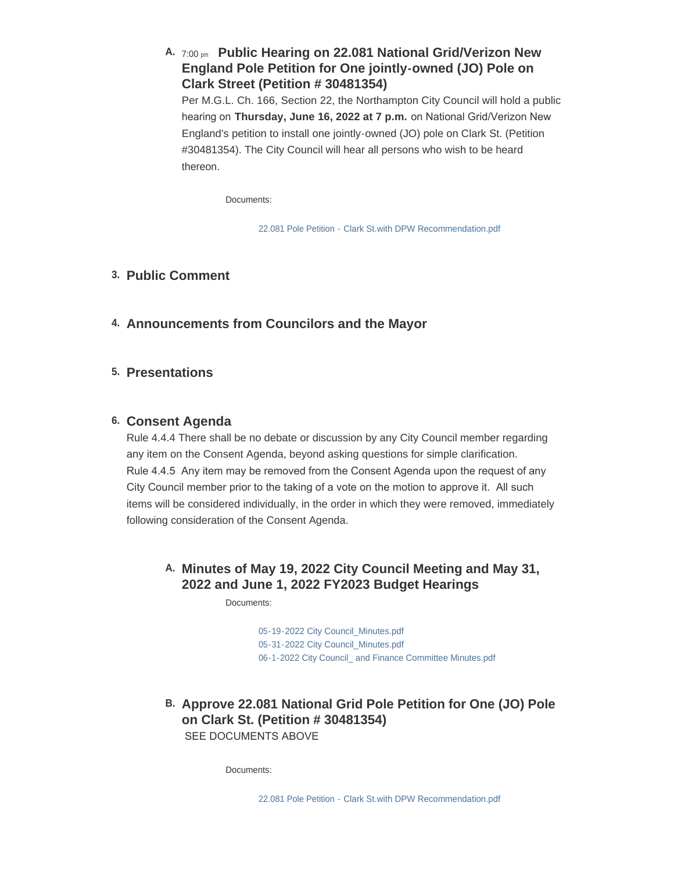## A. 7:00 pm Public Hearing on 22.081 National Grid/Verizon New **England Pole Petition for One jointly-owned (JO) Pole on Clark Street (Petition # 30481354)**

Per M.G.L. Ch. 166, Section 22, the Northampton City Council will hold a public hearing on **Thursday, June 16, 2022 at 7 p.m.** on National Grid/Verizon New England's petition to install one jointly-owned (JO) pole on Clark St. (Petition #30481354). The City Council will hear all persons who wish to be heard thereon.

Documents:

[22.081 Pole Petition - Clark St.with DPW Recommendation.pdf](https://northamptonma.gov/AgendaCenter/ViewFile/Item/19381?fileID=168169)

## **Public Comment 3.**

**Announcements from Councilors and the Mayor 4.**

## **Presentations 5.**

## **Consent Agenda 6.**

Rule 4.4.4 There shall be no debate or discussion by any City Council member regarding any item on the Consent Agenda, beyond asking questions for simple clarification. Rule 4.4.5 Any item may be removed from the Consent Agenda upon the request of any City Council member prior to the taking of a vote on the motion to approve it. All such items will be considered individually, in the order in which they were removed, immediately following consideration of the Consent Agenda.

## **Minutes of May 19, 2022 City Council Meeting and May 31, A. 2022 and June 1, 2022 FY2023 Budget Hearings**

Documents:

[05-19-2022 City Council\\_Minutes.pdf](https://northamptonma.gov/AgendaCenter/ViewFile/Item/19386?fileID=168180) 05-31-2022 City Council Minutes.pdf [06-1-2022 City Council\\_ and Finance Committee Minutes.pdf](https://northamptonma.gov/AgendaCenter/ViewFile/Item/19386?fileID=168284)

**Approve 22.081 National Grid Pole Petition for One (JO) Pole B. on Clark St. (Petition # 30481354)** SEE DOCUMENTS ABOVE

Documents: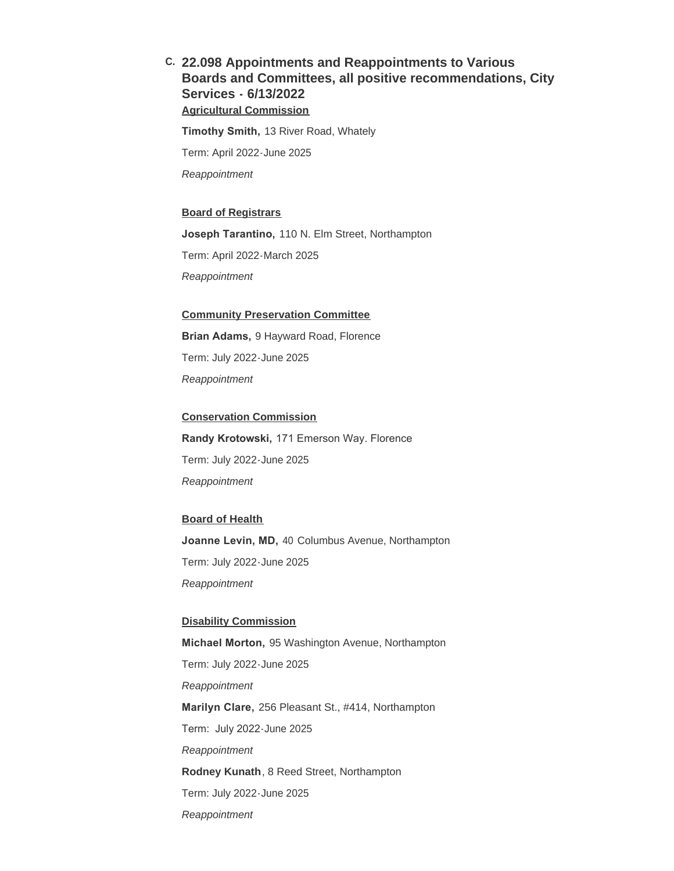## **22.098 Appointments and Reappointments to Various C. Boards and Committees, all positive recommendations, City Services - 6/13/2022 Agricultural Commission**

**Timothy Smith,** 13 River Road, Whately Term: April 2022-June 2025 *Reappointment*

#### **Board of Registrars**

**Joseph Tarantino,** 110 N. Elm Street, Northampton

Term: April 2022-March 2025

*Reappointment*

### **Community Preservation Committee**

**Brian Adams,** 9 Hayward Road, Florence

Term: July 2022-June 2025

*Reappointment*

### **Conservation Commission**

**Randy Krotowski,** 171 Emerson Way. Florence Term: July 2022-June 2025 *Reappointment*

#### **Board of Health**

**Joanne Levin, MD,** 40 Columbus Avenue, Northampton Term: July 2022-June 2025 *Reappointment*

#### **Disability Commission**

**Michael Morton,** 95 Washington Avenue, Northampton Term: July 2022-June 2025 *Reappointment* **Marilyn Clare,** 256 Pleasant St., #414, Northampton Term: July 2022-June 2025 *Reappointment* **Rodney Kunath**, 8 Reed Street, Northampton Term: July 2022-June 2025 *Reappointment*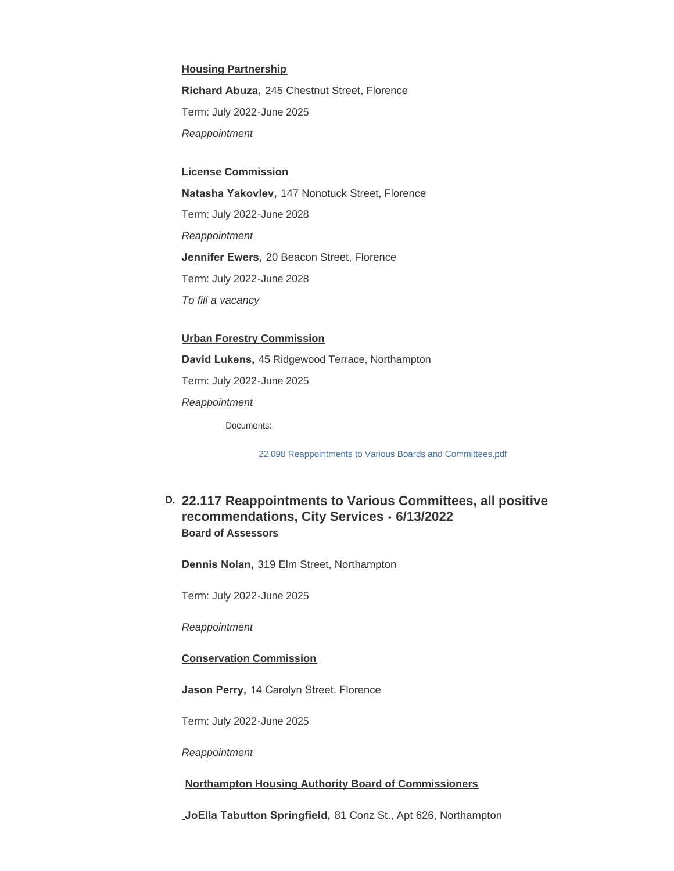#### **Housing Partnership**

**Richard Abuza,** 245 Chestnut Street, Florence Term: July 2022-June 2025 *Reappointment*

#### **License Commission**

**Natasha Yakovlev,** 147 Nonotuck Street, Florence Term: July 2022-June 2028 *Reappointment* **Jennifer Ewers,** 20 Beacon Street, Florence Term: July 2022-June 2028 *To fill a vacancy*

### **Urban Forestry Commission**

**David Lukens,** 45 Ridgewood Terrace, Northampton

Term: July 2022-June 2025

*Reappointment*

Documents:

[22.098 Reappointments to Various Boards and Committees.pdf](https://northamptonma.gov/AgendaCenter/ViewFile/Item/19388?fileID=168171)

## **22.117 Reappointments to Various Committees, all positive D. recommendations, City Services - 6/13/2022 Board of Assessors**

**Dennis Nolan,** 319 Elm Street, Northampton

Term: July 2022-June 2025

*Reappointment*

**Conservation Commission**

**Jason Perry,** 14 Carolyn Street. Florence

Term: July 2022-June 2025

*Reappointment*

#### **Northampton Housing Authority Board of Commissioners**

**JoElla Tabutton Springfield,** 81 Conz St., Apt 626, Northampton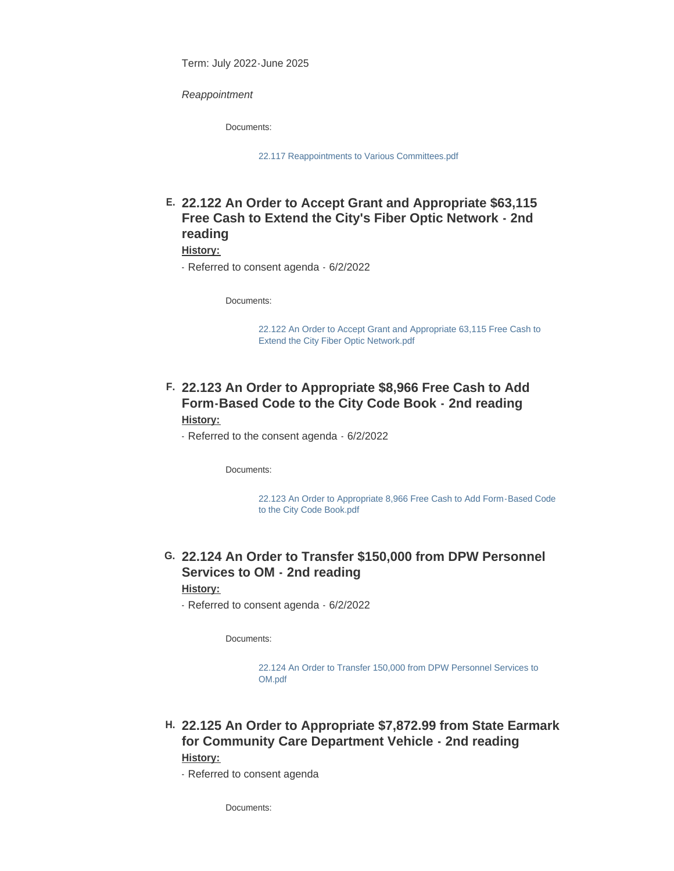Term: July 2022-June 2025

*Reappointment*

Documents:

[22.117 Reappointments to Various Committees.pdf](https://northamptonma.gov/AgendaCenter/ViewFile/Item/19389?fileID=168172)

## **22.122 An Order to Accept Grant and Appropriate \$63,115 E. Free Cash to Extend the City's Fiber Optic Network - 2nd reading**

### **History:**

- Referred to consent agenda - 6/2/2022

Documents:

[22.122 An Order to Accept Grant and Appropriate 63,115 Free Cash to](https://northamptonma.gov/AgendaCenter/ViewFile/Item/19391?fileID=168174)  Extend the City Fiber Optic Network.pdf

### **22.123 An Order to Appropriate \$8,966 Free Cash to Add F. Form-Based Code to the City Code Book - 2nd reading History:**

- Referred to the consent agenda - 6/2/2022

Documents:

[22.123 An Order to Appropriate 8,966 Free Cash to Add Form-Based Code](https://northamptonma.gov/AgendaCenter/ViewFile/Item/19392?fileID=168175)  to the City Code Book.pdf

## **22.124 An Order to Transfer \$150,000 from DPW Personnel G. Services to OM - 2nd reading**

### **History:**

- Referred to consent agenda - 6/2/2022

Documents:

[22.124 An Order to Transfer 150,000 from DPW Personnel Services to](https://northamptonma.gov/AgendaCenter/ViewFile/Item/19393?fileID=168176)  OM.pdf

## **22.125 An Order to Appropriate \$7,872.99 from State Earmark H. for Community Care Department Vehicle - 2nd reading History:**

- Referred to consent agenda

Documents: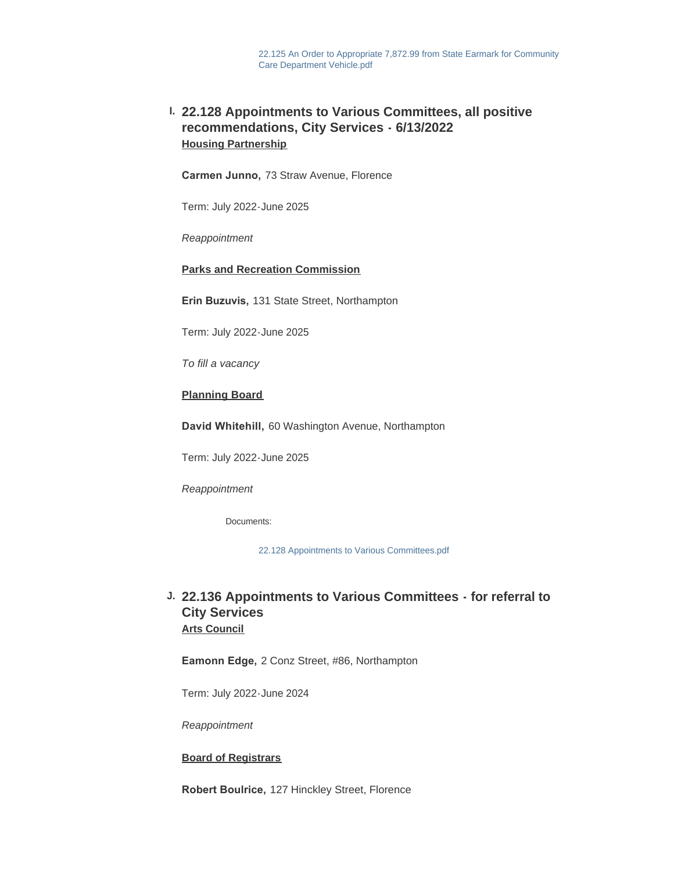## **22.128 Appointments to Various Committees, all positive I. recommendations, City Services - 6/13/2022 Housing Partnership**

**Carmen Junno,** 73 Straw Avenue, Florence

Term: July 2022-June 2025

*Reappointment*

### **Parks and Recreation Commission**

**Erin Buzuvis,** 131 State Street, Northampton

Term: July 2022-June 2025

*To fill a vacancy*

### **Planning Board**

**David Whitehill,** 60 Washington Avenue, Northampton

Term: July 2022-June 2025

*Reappointment*

Documents:

[22.128 Appointments to Various Committees.pdf](https://northamptonma.gov/AgendaCenter/ViewFile/Item/19390?fileID=168173)

## **22.136 Appointments to Various Committees - for referral to J. City Services Arts Council**

**Eamonn Edge,** 2 Conz Street, #86, Northampton

Term: July 2022-June 2024

*Reappointment*

### **Board of Registrars**

**Robert Boulrice,** 127 Hinckley Street, Florence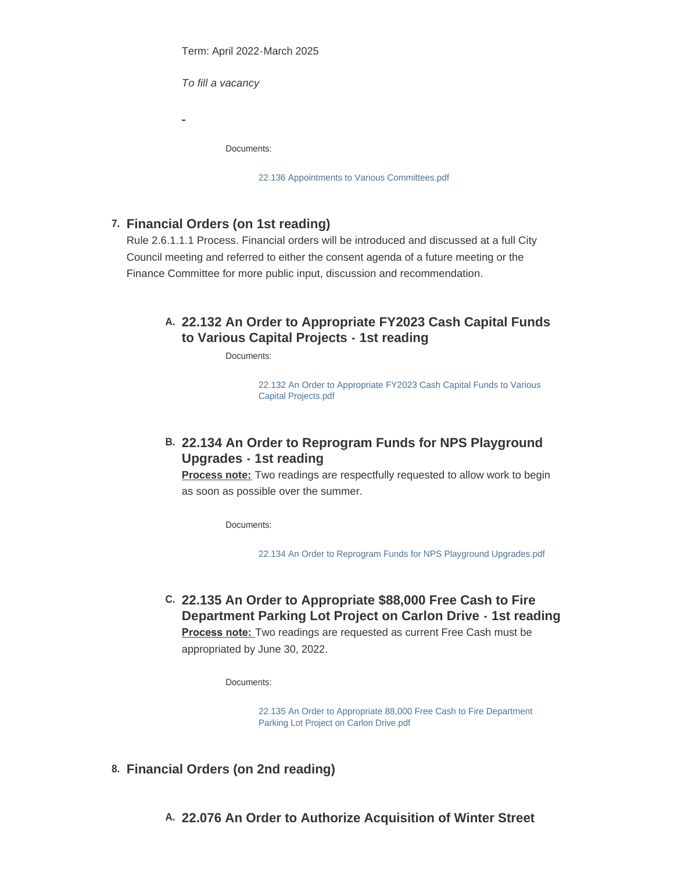Term: April 2022-March 2025

*To fill a vacancy*

Documents:

[22.136 Appointments to Various Committees.pdf](https://northamptonma.gov/AgendaCenter/ViewFile/Item/19411?fileID=168242)

## **Financial Orders (on 1st reading) 7.**

Rule 2.6.1.1.1 Process. Financial orders will be introduced and discussed at a full City Council meeting and referred to either the consent agenda of a future meeting or the Finance Committee for more public input, discussion and recommendation.

## **22.132 An Order to Appropriate FY2023 Cash Capital Funds A. to Various Capital Projects - 1st reading**

Documents:

[22.132 An Order to Appropriate FY2023 Cash Capital Funds to Various](https://northamptonma.gov/AgendaCenter/ViewFile/Item/19378?fileID=168168)  Capital Projects.pdf

## **22.134 An Order to Reprogram Funds for NPS Playground B. Upgrades - 1st reading**

**Process note:** Two readings are respectfully requested to allow work to begin as soon as possible over the summer.

Documents:

[22.134 An Order to Reprogram Funds for NPS Playground Upgrades.pdf](https://northamptonma.gov/AgendaCenter/ViewFile/Item/19409?fileID=168239)

**22.135 An Order to Appropriate \$88,000 Free Cash to Fire C. Department Parking Lot Project on Carlon Drive - 1st reading Process note:** Two readings are requested as current Free Cash must be appropriated by June 30, 2022.

Documents:

[22.135 An Order to Appropriate 88,000 Free Cash to Fire Department](https://northamptonma.gov/AgendaCenter/ViewFile/Item/19410?fileID=168283)  Parking Lot Project on Carlon Drive.pdf

- **Financial Orders (on 2nd reading) 8.**
	- **22.076 An Order to Authorize Acquisition of Winter Street A.**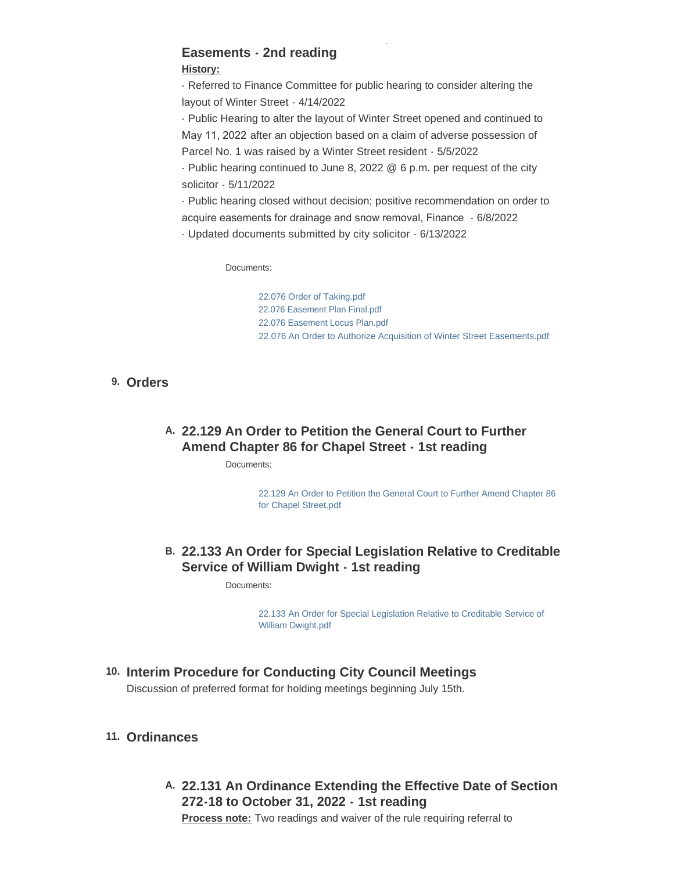# **22.076 An Order to Authorize Acquisition of Winter Street Easements - 2nd reading**

### **History:**

- Referred to Finance Committee for public hearing to consider altering the layout of Winter Street - 4/14/2022

- Public Hearing to alter the layout of Winter Street opened and continued to May 11, 2022 after an objection based on a claim of adverse possession of Parcel No. 1 was raised by a Winter Street resident - 5/5/2022

- Public hearing continued to June 8, 2022 @ 6 p.m. per request of the city solicitor - 5/11/2022

- Public hearing closed without decision; positive recommendation on order to acquire easements for drainage and snow removal, Finance - 6/8/2022

- Updated documents submitted by city solicitor - 6/13/2022

Documents:

[22.076 Order of Taking.pdf](https://northamptonma.gov/AgendaCenter/ViewFile/Item/19376?fileID=168163) [22.076 Easement Plan Final.pdf](https://northamptonma.gov/AgendaCenter/ViewFile/Item/19376?fileID=168164) [22.076 Easement Locus Plan.pdf](https://northamptonma.gov/AgendaCenter/ViewFile/Item/19376?fileID=168165) [22.076 An Order to Authorize Acquisition of Winter Street Easements.pdf](https://northamptonma.gov/AgendaCenter/ViewFile/Item/19376?fileID=168166)

## **Orders 9.**

## **22.129 An Order to Petition the General Court to Further A. Amend Chapter 86 for Chapel Street - 1st reading**

Documents:

[22.129 An Order to Petition the General Court to Further Amend Chapter 86](https://northamptonma.gov/AgendaCenter/ViewFile/Item/19398?fileID=168178)  for Chapel Street.pdf

## **22.133 An Order for Special Legislation Relative to Creditable B. Service of William Dwight - 1st reading**

Documents:

[22.133 An Order for Special Legislation Relative to Creditable Service of](https://northamptonma.gov/AgendaCenter/ViewFile/Item/19406?fileID=168179)  William Dwight.pdf

## **Interim Procedure for Conducting City Council Meetings 10.**

Discussion of preferred format for holding meetings beginning July 15th.

### **Ordinances 11.**

**22.131 An Ordinance Extending the Effective Date of Section A. 272-18 to October 31, 2022 - 1st reading**

**Process note:** Two readings and waiver of the rule requiring referral to